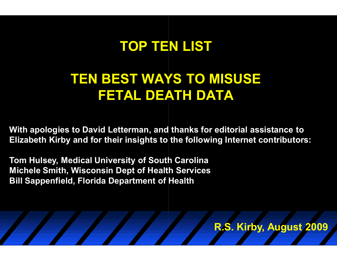### **TOP TEN LIST**

### **TEN BEST WAYS TO MISUSE FETAL DEATH DATA**

**With apologies to David Letterman, and thanks for editorial assistance to Elizabeth Kirby and for their insights to the following Internet contributors:** 

**Tom Hulsey, Medical University of South Carolina Michele Smith, Wisconsin Dept of Health Services Bill Sappenfield, Florida Department of Health**

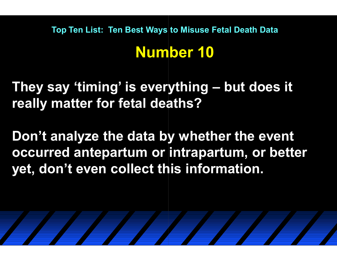**They say 'timing' is everything is everything – but does it really matter for fetal deaths?**

**Don't analyze the data by whether the event occurred antepartum or intrapartum, or better yet, don't even collect this information.** 

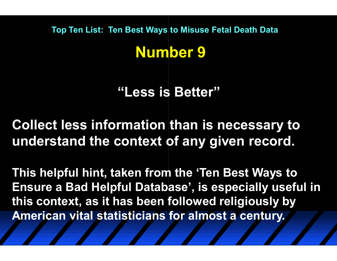**"Less is Better"**

**Collect less information than is necessary to understand the context of any given record.** 

**This helpful hint, taken from the 'Ten Best Ways to Ensure a Bad Helpful Database', is especially useful in this context, as it has been followed religiously by American vital statisticians for almost a century.**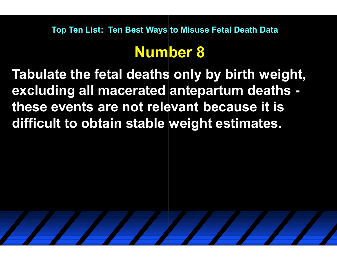### **Number 8**

**Tabulate the fetal deaths only by birth weight, excluding all macerated antepartum deaths antepartum deaths these events are not relevant because it is difficult to obtain stable weight estimates.** 

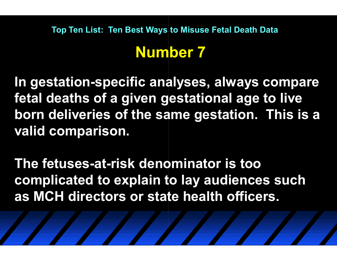**Top Ten List: Ten Best Ways to Misuse Fetal Death Data** 

### **Number 7**

In gestation-specific analyses, always compare **fetal deaths of a given gestational age to live born deliveries of the same gestation. This is a valid comparison. ist: Ten Best Ways to Misuse Fetal Death Data**<br> **Specific analyses, always compare<br>
of a given gestational age to live<br>
es of the same gestation. This is a<br>
rison.<br>
at-risk denominator is too** 

**The fetuses-at-risk denominator is too complicated to explain to lay audiences such as MCH directors or state health officers.**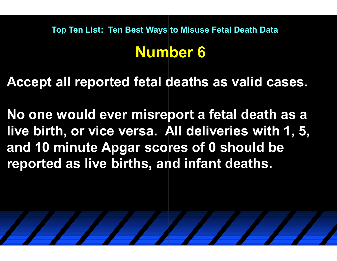**Accept all reported fetal deaths as valid cases.** 

**No one would ever misreport a fetal death as a live birth, or vice versa. All deliveries with 1, 5, and 10 minute Apgar scores of 0 should be reported as live births, and infant deaths.** 

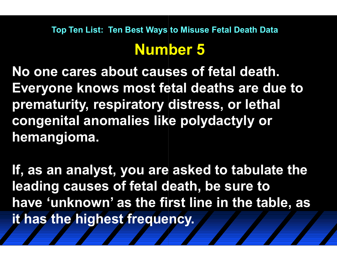# **Number 5**

**No one cares about causes of fetal death. Everyone knows most fetal deaths are due to prematurity, respiratory distress, or lethal congenital anomalies like polydactyly or hemangioma.** 

**If, as an analyst, you are asked to tabulate the leading causes of fetal death, be sure to have 'unknown' as the first line in the table, as it has the highest frequency.**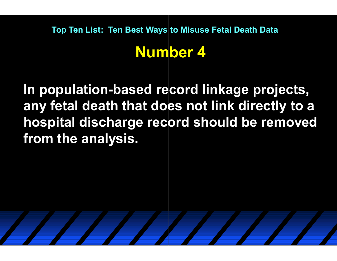# **Top Ten List: Ten Best Ways to Misuse Fetal Death Data**

### **Number 4**

Top Ten List: Ten Best Ways to Misuse Fetal Death Data<br> **Number 4**<br>In population-based record linkage projects, **any fetal death that does not link directly to a hospital discharge record should be removed from the analysis.** 

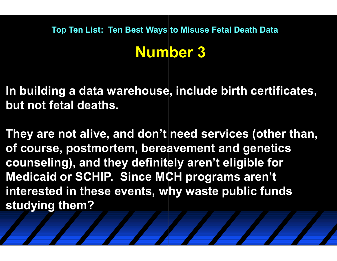### **Number 3**

**In building a data warehouse, include birth certificates, but not fetal deaths.**

**They are not alive, and don't need services (other than, of course, postmortem, bereavement and genetics counseling), and they definitely aren't eligible for Medicaid or SCHIP. Since MCH programs aren't interested in these events, why waste public funds studying them?**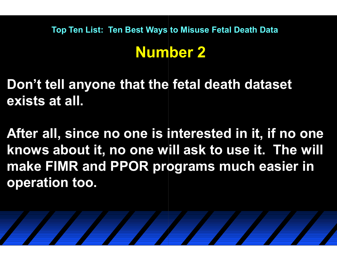# **Number 2**

**Don't tell anyone that the fetal death dataset exists at all.** 

**After all, since no one is interested in it, if no one knows about it, no one will ask to use it. The will make FIMR and PPOR programs much easier in operation too.** 

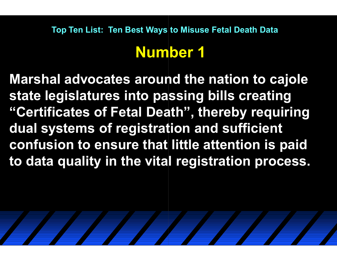### **Number 1**

**Marshal advocates around the nation to cajole state legislatures into passing bills creating "Certificates of Fetal Death", thereby requiring dual systems of registration and sufficient confusion to ensure that little attention is paid to data quality in the vital registration process.**